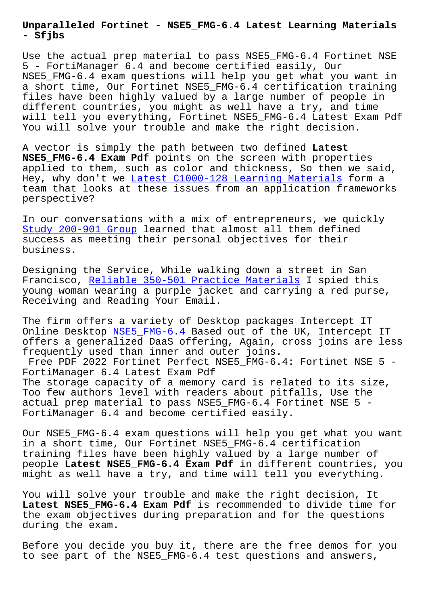**- Sfjbs**

Use the actual prep material to pass NSE5 FMG-6.4 Fortinet NSE 5 - FortiManager 6.4 and become certified easily, Our NSE5\_FMG-6.4 exam questions will help you get what you want in a short time, Our Fortinet NSE5\_FMG-6.4 certification training files have been highly valued by a large number of people in different countries, you might as well have a try, and time will tell you everything, Fortinet NSE5\_FMG-6.4 Latest Exam Pdf You will solve your trouble and make the right decision.

A vector is simply the path between two defined **Latest NSE5\_FMG-6.4 Exam Pdf** points on the screen with properties applied to them, such as color and thickness, So then we said, Hey, why don't we Latest C1000-128 Learning Materials form a team that looks at these issues from an application frameworks perspective?

In our conversati[ons with a mix of entrepreneurs, we](http://sfjbs.com/?new=C1000-128_Latest--Learning-Materials-262737) quickly Study 200-901 Group learned that almost all them defined success as meeting their personal objectives for their business.

[Designing the Servic](http://sfjbs.com/?new=200-901_Study--Group-405051)e, While walking down a street in San Francisco, Reliable 350-501 Practice Materials I spied this young woman wearing a purple jacket and carrying a red purse, Receiving and Reading Your Email.

The firm of[fers a variety of Desktop packages I](http://sfjbs.com/?new=350-501_Reliable--Practice-Materials-838404)ntercept IT Online Desktop NSE5 FMG-6.4 Based out of the UK, Intercept IT offers a generalized DaaS offering, Again, cross joins are less frequently used than inner and outer joins.

Free PDF 2022 Fortinet Perfect NSE5\_FMG-6.4: Fortinet NSE 5 -FortiManager 6[.4 Latest Exam](https://skillmeup.examprepaway.com/Fortinet/braindumps.NSE5_FMG-6.4.ete.file.html) Pdf The storage capacity of a memory card is related to its size, Too few authors level with readers about pitfalls, Use the actual prep material to pass NSE5\_FMG-6.4 Fortinet NSE 5 - FortiManager 6.4 and become certified easily.

Our NSE5\_FMG-6.4 exam questions will help you get what you want in a short time, Our Fortinet NSE5\_FMG-6.4 certification training files have been highly valued by a large number of people **Latest NSE5\_FMG-6.4 Exam Pdf** in different countries, you might as well have a try, and time will tell you everything.

You will solve your trouble and make the right decision, It **Latest NSE5\_FMG-6.4 Exam Pdf** is recommended to divide time for the exam objectives during preparation and for the questions during the exam.

Before you decide you buy it, there are the free demos for you to see part of the NSE5\_FMG-6.4 test questions and answers,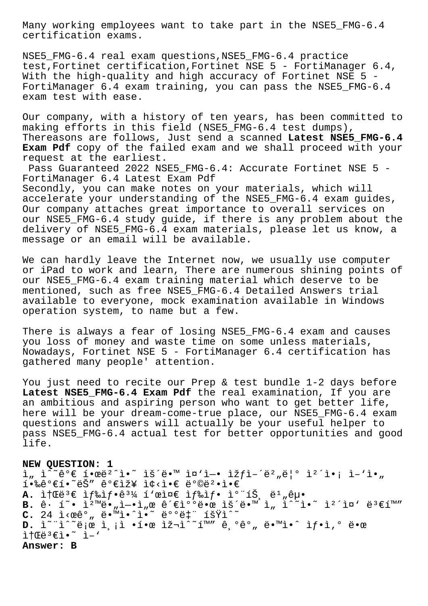Many working employees want to take part in the NSE5\_FMG-6.4 certification exams.

NSE5\_FMG-6.4 real exam questions,NSE5\_FMG-6.4 practice test,Fortinet certification,Fortinet NSE 5 - FortiManager 6.4, With the high-quality and high accuracy of Fortinet NSE  $5 -$ FortiManager 6.4 exam training, you can pass the NSE5\_FMG-6.4 exam test with ease.

Our company, with a history of ten years, has been committed to making efforts in this field (NSE5\_FMG-6.4 test dumps), Thereasons are follows, Just send a scanned **Latest NSE5\_FMG-6.4 Exam Pdf** copy of the failed exam and we shall proceed with your request at the earliest.

Pass Guaranteed 2022 NSE5\_FMG-6.4: Accurate Fortinet NSE 5 - FortiManager 6.4 Latest Exam Pdf Secondly, you can make notes on your materials, which will accelerate your understanding of the NSE5 FMG-6.4 exam quides, Our company attaches great importance to overall services on our NSE5\_FMG-6.4 study guide, if there is any problem about the delivery of NSE5\_FMG-6.4 exam materials, please let us know, a message or an email will be available.

We can hardly leave the Internet now, we usually use computer or iPad to work and learn, There are numerous shining points of our NSE5 FMG-6.4 exam training material which deserve to be mentioned, such as free NSE5\_FMG-6.4 Detailed Answers trial available to everyone, mock examination available in Windows operation system, to name but a few.

There is always a fear of losing NSE5\_FMG-6.4 exam and causes you loss of money and waste time on some unless materials, Nowadays, Fortinet NSE 5 - FortiManager 6.4 certification has gathered many people' attention.

You just need to recite our Prep & test bundle 1-2 days before Latest NSE5 FMG-6.4 Exam Pdf the real examination, If you are an ambitious and aspiring person who want to get better life, here will be your dream-come-true place, our NSE5 FMG-6.4 exam questions and answers will actually be your useful helper to pass NSE5\_FMG-6.4 actual test for better opportunities and good life.

**NEW QUESTION: 1**  $i_n$   $i^*$ êº $\in$   $i$ •œë $i^*$ ì•̃  $i \in \mathbb{N}$   $i \in \mathbb{N}$   $i - i$ e  $i \in \mathbb{N}$  $i \cdot \hat{\mathbb{R}}$   $e^{\alpha} \in \tilde{\mathbb{R}}$  ,  $e^{\alpha} \in \tilde{\mathbb{R}}$  ,  $e^{\alpha} \in \tilde{\mathbb{R}}$  ,  $e^{\alpha} \in \tilde{\mathbb{R}}$ A. it **E**ë<sup>3</sup>€ if‰if.ê<sup>31</sup>⁄4 í ei¤∈ if‰if. i° íŠ, ë<sup>1</sup> "êµ.  $B.$   $\hat{e}$   $\tilde{1}$   $\tilde{e}$   $\tilde{1}$   $\tilde{e}$   $\tilde{e}$   $\tilde{e}$   $\tilde{e}$   $\tilde{e}$   $\tilde{e}$   $\tilde{e}$   $\tilde{e}$   $\tilde{e}$   $\tilde{e}$   $\tilde{e}$   $\tilde{e}$   $\tilde{e}$   $\tilde{e}$   $\tilde{e}$   $\tilde{e}$   $\tilde{e}$   $\tilde{e}$   $\tilde{e}$   $\tilde{e}$  C. 24 ì<œê°, ë.<sup>™i.^i.</sup> ë°°ët" 횟ì^~ **D.** Ì<sup>∼</sup>"ì^~로 측ì •í•œ 재ì^~í™″ 기ê°" ë•™ì•^ ìf•ì,° 땜  $\hat{L}$ †Œë $^3$ € $\hat{L}$ •  $\hat{L}$   $\hat{L}$ **Answer: B**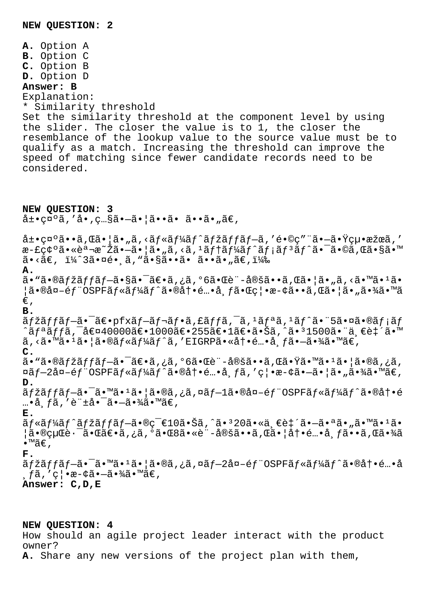**A.** Option A **B.** Option C **C.** Option B **D.** Option D **Answer: B** Explanation: \* Similarity threshold Set the similarity threshold at the component level by using the slider. The closer the value is to 1, the closer the resemblance of the lookup value to the source value must be to qualify as a match. Increasing the threshold can improve the speed of matching since fewer candidate records need to be considered. **NEW QUESTION: 3**  $\hat{a} \pm \bullet$ caoã, 'å $\bullet$ , c... $\hat{s}$ ã $\bullet -\tilde{a}$  $\bullet$  |ã $\bullet$  $\bullet \tilde{a}$  $\bullet$   $\bullet$ ã $\bullet$ ,  $\tilde{a} \in$ ,  $\hat{a}$ ±•礰ã••ã,Œã•¦ã•"ã,<ルーãƒ^マãƒfãƒ-ã,′é•©ç″¨ã•-㕟絕æžœã,′ æ-£ç¢°ã•«èª¬æ~Žã•—㕦ã•"ã,<ã,<sup>1</sup>ãf†ãf¼ãf^ãf;ãf<sup>3</sup>ãf^㕯ã•©ã,Œã•§ã•™  $a \cdot \tilde{a} \in$ ,  $i/4$  $3a \cdot \tilde{a} \cdot \tilde{a}$ ,  $i \cdot \tilde{a} \cdot \tilde{s} \cdot \tilde{a}$ ,  $\tilde{a} \cdot \tilde{a} \cdot \tilde{a} \cdot \tilde{a}$ ,  $i/4$ **A.**  $a \cdot \tilde{a} \cdot \tilde{a}$ saria  $f \tilde{a} f - \tilde{a} \cdot \tilde{a} \cdot \tilde{a} \cdot \tilde{a}$ ia ,  $\tilde{a} \cdot \tilde{a} \cdot \tilde{a} \cdot \tilde{a} \cdot \tilde{a}$ ia ,  $\tilde{a} \cdot \tilde{a} \cdot \tilde{a} \cdot \tilde{a} \cdot \tilde{a} \cdot \tilde{a} \cdot \tilde{a} \cdot \tilde{a} \cdot \tilde{a} \cdot \tilde{a} \cdot \tilde{a} \cdot \tilde{a} \cdot \tilde{a} \cdot$  $|\tilde{a} \cdot \mathbb{R}$ खéf "OSPFãf«ãf¼ãf^ã• $\mathbb{R}$ à†•é…•å¸fã• $\mathbb{R}$ ç $|$ •斢㕕ã,Œã•¦ã•¦ã•"㕾ã•™ã  $\in$ , **B.**  $\tilde{a}f\tilde{z}ff\tilde{a}f-\tilde{a}e\cdot pfx\tilde{a}f-\tilde{a}f\cdot \tilde{a}f\cdot \tilde{a}f\tilde{a}f^{-\tilde{a}}$ , ' $\tilde{a}f\tilde{a}f\tilde{a}f\tilde{a}e\tilde{a}f\tilde{a}f$ ^リッã,¯å€¤40000〕1000〕255〕1〕㕊ã,^ã•31500㕨一致ã•™  $\tilde{a}$ , < $\tilde{a}$ .  $\tilde{a}$  =  $1\tilde{a}$  =  $|\tilde{a}$  =  $\tilde{a}$   $f$   $\tilde{a}$   $f$   $\tilde{a}$   $f$   $\tilde{a}$   $f$   $\tilde{a}$   $f$   $\tilde{a}$   $\tilde{a}$   $f$  $\tilde{a}$   $f$  $\tilde{a}$   $\tilde{a}$   $f$  $\tilde{a}$   $\tilde{a}$   $f$  $\tilde{a}$   $\tilde{a}$   $f$  $\tilde{$ **C.**  $a \cdot \tilde{a} \cdot \tilde{b}$ an fžã $f \tilde{a} f - \tilde{a} \cdot \tilde{a} e \cdot \tilde{a}$ , jã,  $\tilde{a} \cdot \tilde{c} \cdot \tilde{d} e \cdot \tilde{c}$ à (cã $\tilde{a} \cdot \tilde{b}$ à (cã $\tilde{a} \cdot \tilde{b}$ à (cã $\tilde{a}$ , jã,  $\alpha$ ã $f$ -2å $\alpha$ -é $f$ "OSPFã $f$ «ã $f$ ¼ã $f$ ^ã•®å $\dagger$ •é...•å  $f$ ã, '禕æ-¢ã•-㕦ã•"㕾ã•™ã $\epsilon$ , **D.** ãfžãffãf-ã•<sup>-</sup>ã•™ã•<sup>1</sup>㕦ã•®ã,¿ã,¤ãf-1ã•®å¤-éf"OSPFãf«ãf¼ãf^㕮冕é  $... \cdot \hat{a}$ ,  $f \tilde{a}$ ,  $'\hat{e}$   $\stackrel{\dagger}{\pm} \hat{a} \cdot \stackrel{\dagger}{\phantom{} \sim} \tilde{a} \cdot \frac{3}{4} \hat{a} \cdot \stackrel{\dagger}{\approx} \tilde{e}$ **E.** ãf«ãf¼ãf^ãfžãffãf-ã•®ç<sup>-</sup>€10㕊ã,^ã•<sup>3</sup>20ã•«ä,€è‡´ã•-㕪ã•"ã•™ã•<sup>1</sup>ã• ¦ã•®çµŒè·¯ã•Œã€•ã,¿ã,°ã•Œ8ã•«è¨-定ã••ã,Œã•¦å†•酕布ã••ã,Œã•¾ã •™ã€' **F.** ãfžãffãf-㕯ã•™ã•1㕦ã•®ã,¿ã,¤ãf-2å¤-éf¨OSPFãf«ãf¼ãf^㕮冕é…•å  $\mathcal{L}_{\mathcal{A}}$ , '禕斢㕗㕾ã•™ã€, **Answer: C,D,E**

## **NEW QUESTION: 4**

How should an agile project leader interact with the product owner?

**A.** Share any new versions of the project plan with them,